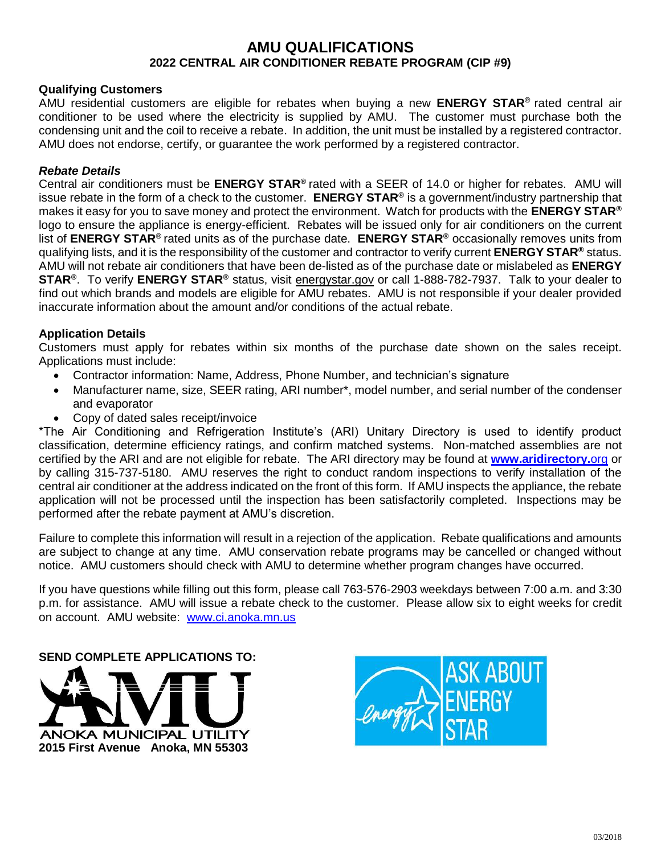# **AMU QUALIFICATIONS 2022 CENTRAL AIR CONDITIONER REBATE PROGRAM (CIP #9)**

# **Qualifying Customers**

AMU residential customers are eligible for rebates when buying a new **ENERGY STAR®** rated central air conditioner to be used where the electricity is supplied by AMU. The customer must purchase both the condensing unit and the coil to receive a rebate. In addition, the unit must be installed by a registered contractor. AMU does not endorse, certify, or guarantee the work performed by a registered contractor.

### *Rebate Details*

Central air conditioners must be **ENERGY STAR®** rated with a SEER of 14.0 or higher for rebates. AMU will issue rebate in the form of a check to the customer. **ENERGY STAR®** is a government/industry partnership that makes it easy for you to save money and protect the environment. Watch for products with the **ENERGY STAR®** logo to ensure the appliance is energy-efficient. Rebates will be issued only for air conditioners on the current list of **ENERGY STAR®** rated units as of the purchase date. **ENERGY STAR®** occasionally removes units from qualifying lists, and it is the responsibility of the customer and contractor to verify current **ENERGY STAR®** status. AMU will not rebate air conditioners that have been de-listed as of the purchase date or mislabeled as **ENERGY STAR®** . To verify **ENERGY STAR®** status, visit energystar.gov or call 1-888-782-7937. Talk to your dealer to find out which brands and models are eligible for AMU rebates. AMU is not responsible if your dealer provided inaccurate information about the amount and/or conditions of the actual rebate.

# **Application Details**

Customers must apply for rebates within six months of the purchase date shown on the sales receipt. Applications must include:

- Contractor information: Name, Address, Phone Number, and technician's signature
- Manufacturer name, size, SEER rating, ARI number\*, model number, and serial number of the condenser and evaporator
- Copy of dated sales receipt/invoice

\*The Air Conditioning and Refrigeration Institute's (ARI) Unitary Directory is used to identify product classification, determine efficiency ratings, and confirm matched systems. Non-matched assemblies are not certified by the ARI and are not eligible for rebate. The ARI directory may be found at **[www.aridirectory.](http://www.aridirectory.org/)**org or by calling 315-737-5180. AMU reserves the right to conduct random inspections to verify installation of the central air conditioner at the address indicated on the front of this form. If AMU inspects the appliance, the rebate application will not be processed until the inspection has been satisfactorily completed. Inspections may be performed after the rebate payment at AMU's discretion.

Failure to complete this information will result in a rejection of the application. Rebate qualifications and amounts are subject to change at any time. AMU conservation rebate programs may be cancelled or changed without notice. AMU customers should check with AMU to determine whether program changes have occurred.

If you have questions while filling out this form, please call 763-576-2903 weekdays between 7:00 a.m. and 3:30 p.m. for assistance. AMU will issue a rebate check to the customer. Please allow six to eight weeks for credit on account. AMU website: [www.ci.anoka.mn.us](http://www.ci.anoka.mn.us/)

**SEND COMPLETE APPLICATIONS TO:**